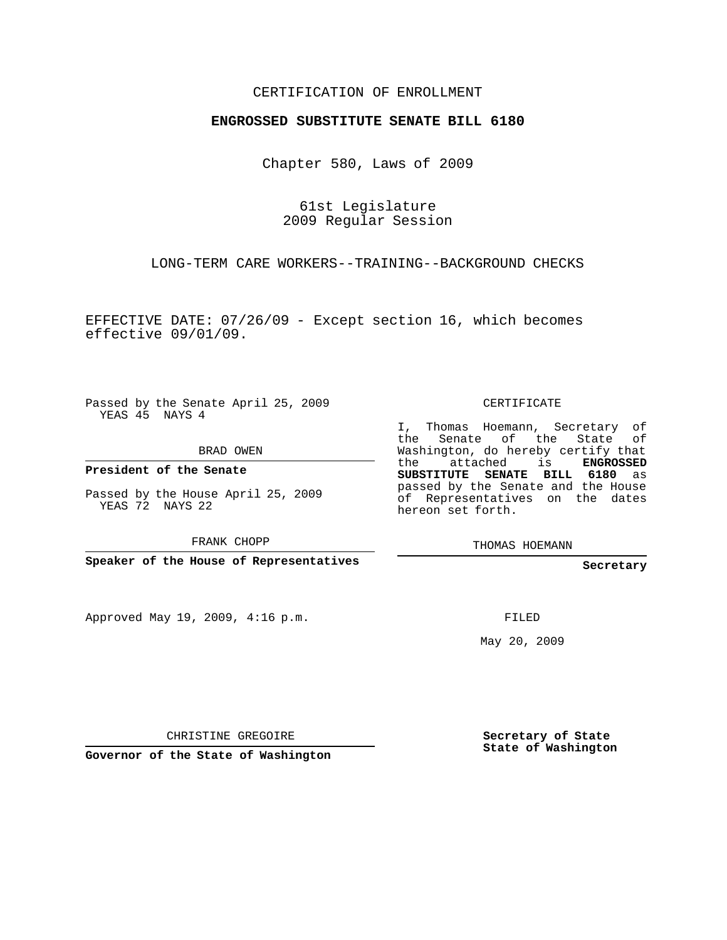## CERTIFICATION OF ENROLLMENT

## **ENGROSSED SUBSTITUTE SENATE BILL 6180**

Chapter 580, Laws of 2009

61st Legislature 2009 Regular Session

LONG-TERM CARE WORKERS--TRAINING--BACKGROUND CHECKS

EFFECTIVE DATE: 07/26/09 - Except section 16, which becomes effective 09/01/09.

Passed by the Senate April 25, 2009 YEAS 45 NAYS 4

BRAD OWEN

**President of the Senate**

Passed by the House April 25, 2009 YEAS 72 NAYS 22

FRANK CHOPP

**Speaker of the House of Representatives**

Approved May 19, 2009, 4:16 p.m.

CERTIFICATE

I, Thomas Hoemann, Secretary of the Senate of the State of Washington, do hereby certify that the attached is **ENGROSSED SUBSTITUTE SENATE BILL 6180** as passed by the Senate and the House of Representatives on the dates hereon set forth.

THOMAS HOEMANN

**Secretary**

FILED

May 20, 2009

CHRISTINE GREGOIRE

**Governor of the State of Washington**

**Secretary of State State of Washington**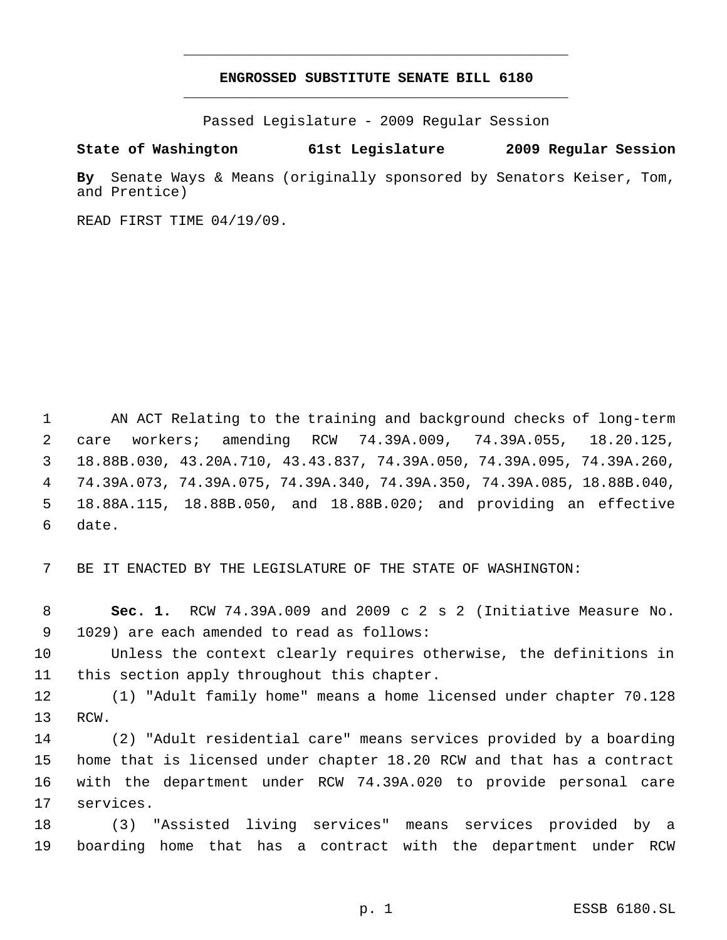## **ENGROSSED SUBSTITUTE SENATE BILL 6180** \_\_\_\_\_\_\_\_\_\_\_\_\_\_\_\_\_\_\_\_\_\_\_\_\_\_\_\_\_\_\_\_\_\_\_\_\_\_\_\_\_\_\_\_\_

\_\_\_\_\_\_\_\_\_\_\_\_\_\_\_\_\_\_\_\_\_\_\_\_\_\_\_\_\_\_\_\_\_\_\_\_\_\_\_\_\_\_\_\_\_

Passed Legislature - 2009 Regular Session

## **State of Washington 61st Legislature 2009 Regular Session**

**By** Senate Ways & Means (originally sponsored by Senators Keiser, Tom, and Prentice)

READ FIRST TIME 04/19/09.

 AN ACT Relating to the training and background checks of long-term care workers; amending RCW 74.39A.009, 74.39A.055, 18.20.125, 18.88B.030, 43.20A.710, 43.43.837, 74.39A.050, 74.39A.095, 74.39A.260, 74.39A.073, 74.39A.075, 74.39A.340, 74.39A.350, 74.39A.085, 18.88B.040, 18.88A.115, 18.88B.050, and 18.88B.020; and providing an effective date.

BE IT ENACTED BY THE LEGISLATURE OF THE STATE OF WASHINGTON:

 **Sec. 1.** RCW 74.39A.009 and 2009 c 2 s 2 (Initiative Measure No. 1029) are each amended to read as follows:

 Unless the context clearly requires otherwise, the definitions in this section apply throughout this chapter.

 (1) "Adult family home" means a home licensed under chapter 70.128 RCW.

 (2) "Adult residential care" means services provided by a boarding home that is licensed under chapter 18.20 RCW and that has a contract with the department under RCW 74.39A.020 to provide personal care services.

 (3) "Assisted living services" means services provided by a boarding home that has a contract with the department under RCW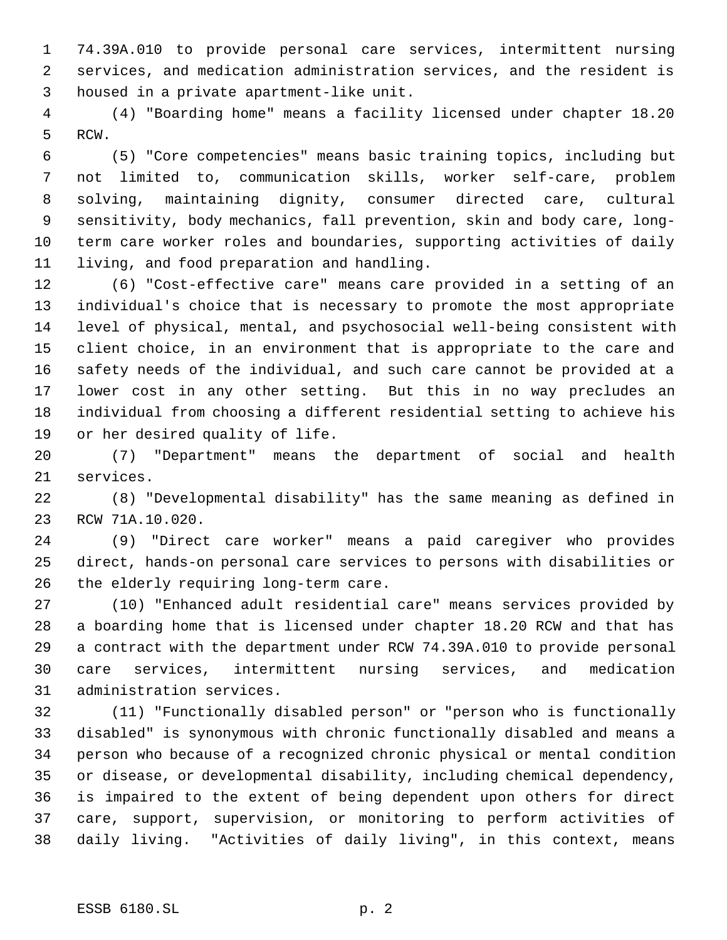74.39A.010 to provide personal care services, intermittent nursing services, and medication administration services, and the resident is housed in a private apartment-like unit.

 (4) "Boarding home" means a facility licensed under chapter 18.20 RCW.

 (5) "Core competencies" means basic training topics, including but not limited to, communication skills, worker self-care, problem solving, maintaining dignity, consumer directed care, cultural sensitivity, body mechanics, fall prevention, skin and body care, long- term care worker roles and boundaries, supporting activities of daily living, and food preparation and handling.

 (6) "Cost-effective care" means care provided in a setting of an individual's choice that is necessary to promote the most appropriate level of physical, mental, and psychosocial well-being consistent with client choice, in an environment that is appropriate to the care and safety needs of the individual, and such care cannot be provided at a lower cost in any other setting. But this in no way precludes an individual from choosing a different residential setting to achieve his or her desired quality of life.

 (7) "Department" means the department of social and health services.

 (8) "Developmental disability" has the same meaning as defined in RCW 71A.10.020.

 (9) "Direct care worker" means a paid caregiver who provides direct, hands-on personal care services to persons with disabilities or the elderly requiring long-term care.

 (10) "Enhanced adult residential care" means services provided by a boarding home that is licensed under chapter 18.20 RCW and that has a contract with the department under RCW 74.39A.010 to provide personal care services, intermittent nursing services, and medication administration services.

 (11) "Functionally disabled person" or "person who is functionally disabled" is synonymous with chronic functionally disabled and means a person who because of a recognized chronic physical or mental condition or disease, or developmental disability, including chemical dependency, is impaired to the extent of being dependent upon others for direct care, support, supervision, or monitoring to perform activities of daily living. "Activities of daily living", in this context, means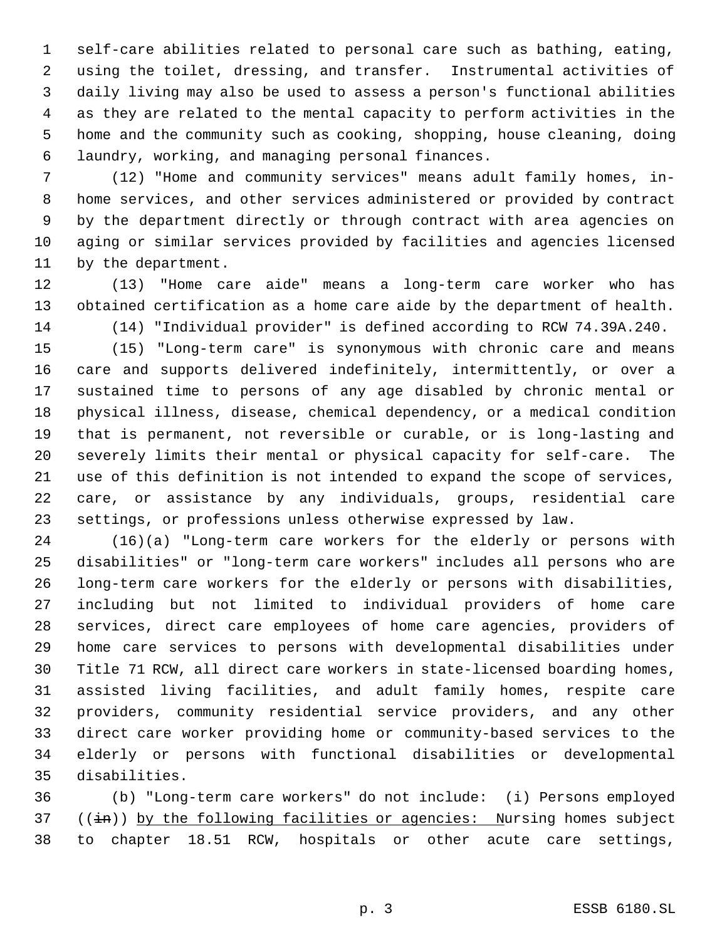self-care abilities related to personal care such as bathing, eating, using the toilet, dressing, and transfer. Instrumental activities of daily living may also be used to assess a person's functional abilities as they are related to the mental capacity to perform activities in the home and the community such as cooking, shopping, house cleaning, doing laundry, working, and managing personal finances.

 (12) "Home and community services" means adult family homes, in- home services, and other services administered or provided by contract by the department directly or through contract with area agencies on aging or similar services provided by facilities and agencies licensed by the department.

 (13) "Home care aide" means a long-term care worker who has obtained certification as a home care aide by the department of health. (14) "Individual provider" is defined according to RCW 74.39A.240.

 (15) "Long-term care" is synonymous with chronic care and means care and supports delivered indefinitely, intermittently, or over a sustained time to persons of any age disabled by chronic mental or physical illness, disease, chemical dependency, or a medical condition that is permanent, not reversible or curable, or is long-lasting and severely limits their mental or physical capacity for self-care. The use of this definition is not intended to expand the scope of services, care, or assistance by any individuals, groups, residential care settings, or professions unless otherwise expressed by law.

 (16)(a) "Long-term care workers for the elderly or persons with disabilities" or "long-term care workers" includes all persons who are long-term care workers for the elderly or persons with disabilities, including but not limited to individual providers of home care services, direct care employees of home care agencies, providers of home care services to persons with developmental disabilities under Title 71 RCW, all direct care workers in state-licensed boarding homes, assisted living facilities, and adult family homes, respite care providers, community residential service providers, and any other direct care worker providing home or community-based services to the elderly or persons with functional disabilities or developmental disabilities.

 (b) "Long-term care workers" do not include: (i) Persons employed 37 ((in)) by the following facilities or agencies: Nursing homes subject to chapter 18.51 RCW, hospitals or other acute care settings,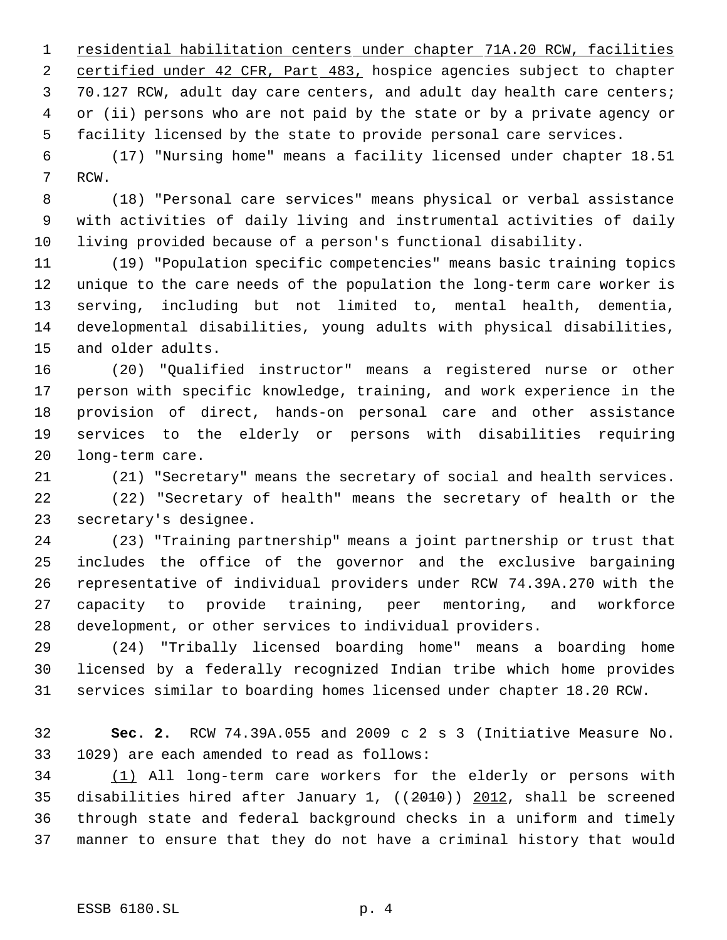1 residential habilitation centers under chapter 71A.20 RCW, facilities 2 certified under 42 CFR, Part 483, hospice agencies subject to chapter 70.127 RCW, adult day care centers, and adult day health care centers; or (ii) persons who are not paid by the state or by a private agency or facility licensed by the state to provide personal care services.

 (17) "Nursing home" means a facility licensed under chapter 18.51 RCW.

 (18) "Personal care services" means physical or verbal assistance with activities of daily living and instrumental activities of daily living provided because of a person's functional disability.

 (19) "Population specific competencies" means basic training topics unique to the care needs of the population the long-term care worker is serving, including but not limited to, mental health, dementia, developmental disabilities, young adults with physical disabilities, and older adults.

 (20) "Qualified instructor" means a registered nurse or other person with specific knowledge, training, and work experience in the provision of direct, hands-on personal care and other assistance services to the elderly or persons with disabilities requiring long-term care.

(21) "Secretary" means the secretary of social and health services.

 (22) "Secretary of health" means the secretary of health or the secretary's designee.

 (23) "Training partnership" means a joint partnership or trust that includes the office of the governor and the exclusive bargaining representative of individual providers under RCW 74.39A.270 with the capacity to provide training, peer mentoring, and workforce development, or other services to individual providers.

 (24) "Tribally licensed boarding home" means a boarding home licensed by a federally recognized Indian tribe which home provides services similar to boarding homes licensed under chapter 18.20 RCW.

 **Sec. 2.** RCW 74.39A.055 and 2009 c 2 s 3 (Initiative Measure No. 1029) are each amended to read as follows:

 (1) All long-term care workers for the elderly or persons with 35 disabilities hired after January 1,  $((2010)$  2012, shall be screened through state and federal background checks in a uniform and timely manner to ensure that they do not have a criminal history that would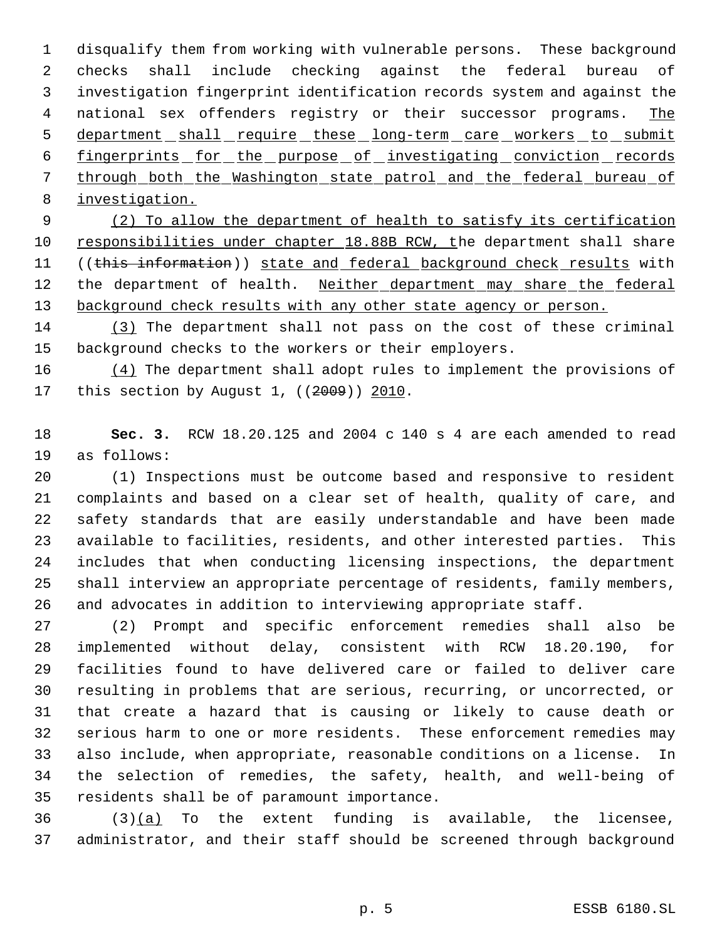disqualify them from working with vulnerable persons. These background checks shall include checking against the federal bureau of investigation fingerprint identification records system and against the 4 national sex offenders registry or their successor programs. The 5 department shall require these long-term care workers to submit fingerprints for the purpose of investigating conviction records through both the Washington state patrol and the federal bureau of investigation.

 (2) To allow the department of health to satisfy its certification 10 responsibilities under chapter 18.88B RCW, the department shall share 11 ((this information)) state and federal background check results with 12 the department of health. Neither department may share the federal 13 background check results with any other state agency or person.

 (3) The department shall not pass on the cost of these criminal background checks to the workers or their employers.

 $(4)$  The department shall adopt rules to implement the provisions of 17 this section by August 1, ((2009)) 2010.

 **Sec. 3.** RCW 18.20.125 and 2004 c 140 s 4 are each amended to read as follows:

 (1) Inspections must be outcome based and responsive to resident complaints and based on a clear set of health, quality of care, and safety standards that are easily understandable and have been made available to facilities, residents, and other interested parties. This includes that when conducting licensing inspections, the department shall interview an appropriate percentage of residents, family members, and advocates in addition to interviewing appropriate staff.

 (2) Prompt and specific enforcement remedies shall also be implemented without delay, consistent with RCW 18.20.190, for facilities found to have delivered care or failed to deliver care resulting in problems that are serious, recurring, or uncorrected, or that create a hazard that is causing or likely to cause death or serious harm to one or more residents. These enforcement remedies may also include, when appropriate, reasonable conditions on a license. In the selection of remedies, the safety, health, and well-being of residents shall be of paramount importance.

 (3)(a) To the extent funding is available, the licensee, administrator, and their staff should be screened through background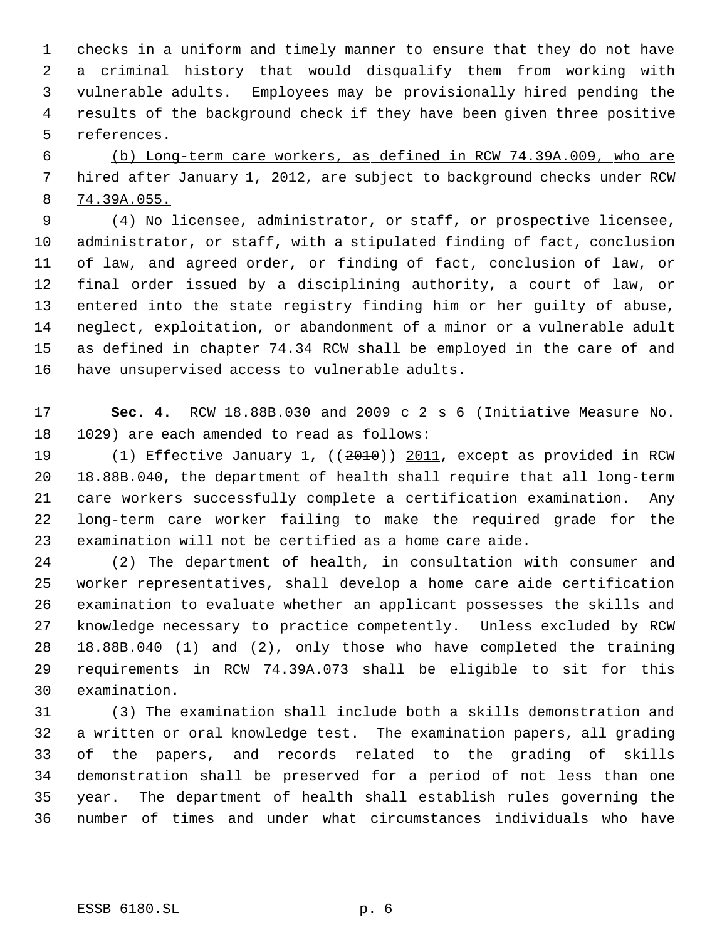checks in a uniform and timely manner to ensure that they do not have a criminal history that would disqualify them from working with vulnerable adults. Employees may be provisionally hired pending the results of the background check if they have been given three positive references.

 (b) Long-term care workers, as defined in RCW 74.39A.009, who are 7 hired after January 1, 2012, are subject to background checks under RCW 74.39A.055.

 (4) No licensee, administrator, or staff, or prospective licensee, administrator, or staff, with a stipulated finding of fact, conclusion of law, and agreed order, or finding of fact, conclusion of law, or final order issued by a disciplining authority, a court of law, or entered into the state registry finding him or her guilty of abuse, neglect, exploitation, or abandonment of a minor or a vulnerable adult as defined in chapter 74.34 RCW shall be employed in the care of and have unsupervised access to vulnerable adults.

 **Sec. 4.** RCW 18.88B.030 and 2009 c 2 s 6 (Initiative Measure No. 1029) are each amended to read as follows:

 (1) Effective January 1, ((2010)) 2011, except as provided in RCW 18.88B.040, the department of health shall require that all long-term care workers successfully complete a certification examination. Any long-term care worker failing to make the required grade for the examination will not be certified as a home care aide.

 (2) The department of health, in consultation with consumer and worker representatives, shall develop a home care aide certification examination to evaluate whether an applicant possesses the skills and knowledge necessary to practice competently. Unless excluded by RCW 18.88B.040 (1) and (2), only those who have completed the training requirements in RCW 74.39A.073 shall be eligible to sit for this examination.

 (3) The examination shall include both a skills demonstration and a written or oral knowledge test. The examination papers, all grading of the papers, and records related to the grading of skills demonstration shall be preserved for a period of not less than one year. The department of health shall establish rules governing the number of times and under what circumstances individuals who have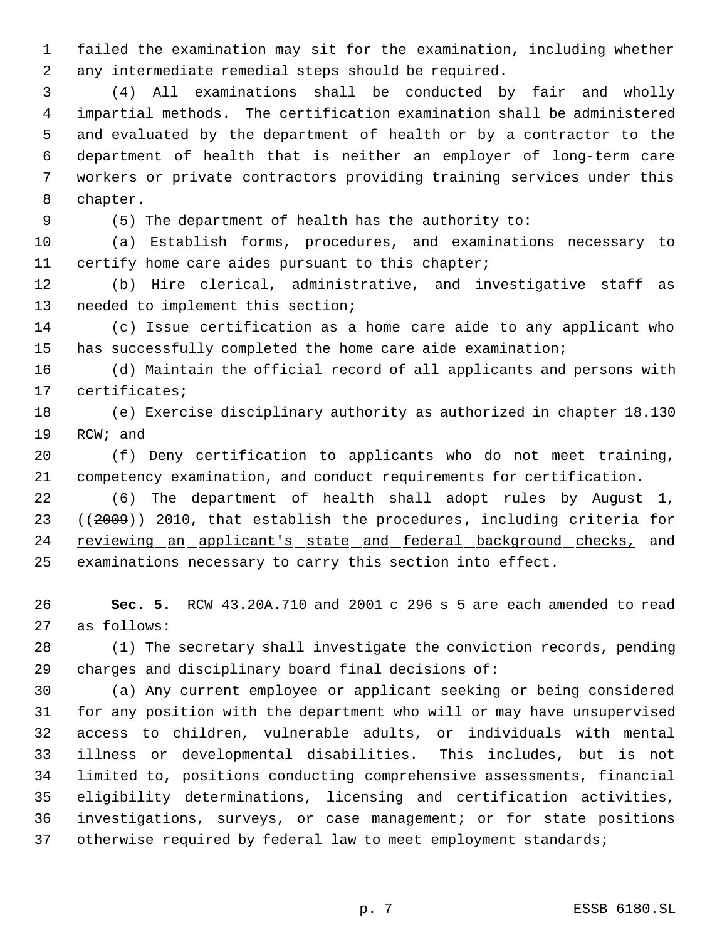failed the examination may sit for the examination, including whether any intermediate remedial steps should be required.

 (4) All examinations shall be conducted by fair and wholly impartial methods. The certification examination shall be administered and evaluated by the department of health or by a contractor to the department of health that is neither an employer of long-term care workers or private contractors providing training services under this chapter.

(5) The department of health has the authority to:

 (a) Establish forms, procedures, and examinations necessary to certify home care aides pursuant to this chapter;

 (b) Hire clerical, administrative, and investigative staff as needed to implement this section;

 (c) Issue certification as a home care aide to any applicant who has successfully completed the home care aide examination;

 (d) Maintain the official record of all applicants and persons with certificates;

 (e) Exercise disciplinary authority as authorized in chapter 18.130 RCW; and

 (f) Deny certification to applicants who do not meet training, competency examination, and conduct requirements for certification.

 (6) The department of health shall adopt rules by August 1, 23 ((2009)) 2010, that establish the procedures, including criteria for 24 reviewing an applicant's state and federal background checks, and examinations necessary to carry this section into effect.

 **Sec. 5.** RCW 43.20A.710 and 2001 c 296 s 5 are each amended to read as follows:

 (1) The secretary shall investigate the conviction records, pending charges and disciplinary board final decisions of:

 (a) Any current employee or applicant seeking or being considered for any position with the department who will or may have unsupervised access to children, vulnerable adults, or individuals with mental illness or developmental disabilities. This includes, but is not limited to, positions conducting comprehensive assessments, financial eligibility determinations, licensing and certification activities, investigations, surveys, or case management; or for state positions otherwise required by federal law to meet employment standards;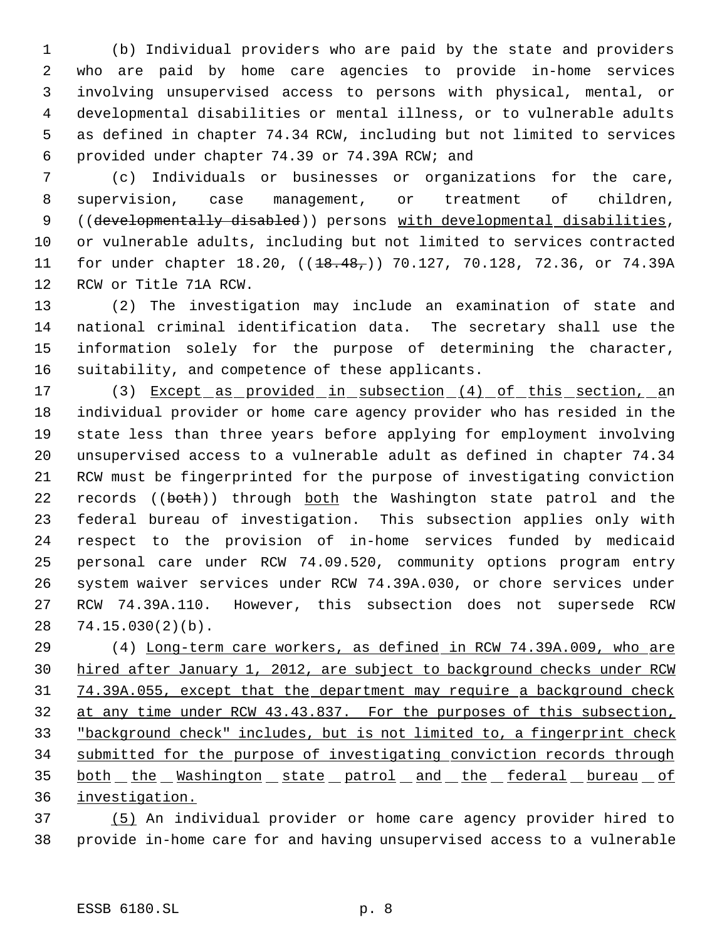(b) Individual providers who are paid by the state and providers who are paid by home care agencies to provide in-home services involving unsupervised access to persons with physical, mental, or developmental disabilities or mental illness, or to vulnerable adults as defined in chapter 74.34 RCW, including but not limited to services provided under chapter 74.39 or 74.39A RCW; and

 (c) Individuals or businesses or organizations for the care, supervision, case management, or treatment of children, ((developmentally disabled)) persons with developmental disabilities, or vulnerable adults, including but not limited to services contracted 11 for under chapter 18.20, ((<del>18.48,</del>)) 70.127, 70.128, 72.36, or 74.39A RCW or Title 71A RCW.

 (2) The investigation may include an examination of state and national criminal identification data. The secretary shall use the information solely for the purpose of determining the character, suitability, and competence of these applicants.

17 (3) Except as provided in subsection (4) of this section, an individual provider or home care agency provider who has resided in the state less than three years before applying for employment involving unsupervised access to a vulnerable adult as defined in chapter 74.34 RCW must be fingerprinted for the purpose of investigating conviction 22 records ((both)) through both the Washington state patrol and the federal bureau of investigation. This subsection applies only with respect to the provision of in-home services funded by medicaid personal care under RCW 74.09.520, community options program entry system waiver services under RCW 74.39A.030, or chore services under RCW 74.39A.110. However, this subsection does not supersede RCW 74.15.030(2)(b).

 (4) Long-term care workers, as defined in RCW 74.39A.009, who are hired after January 1, 2012, are subject to background checks under RCW 74.39A.055, except that the department may require a background check at any time under RCW 43.43.837. For the purposes of this subsection, "background check" includes, but is not limited to, a fingerprint check submitted for the purpose of investigating conviction records through 35 both the Washington state patrol and the federal bureau of investigation.

 (5) An individual provider or home care agency provider hired to provide in-home care for and having unsupervised access to a vulnerable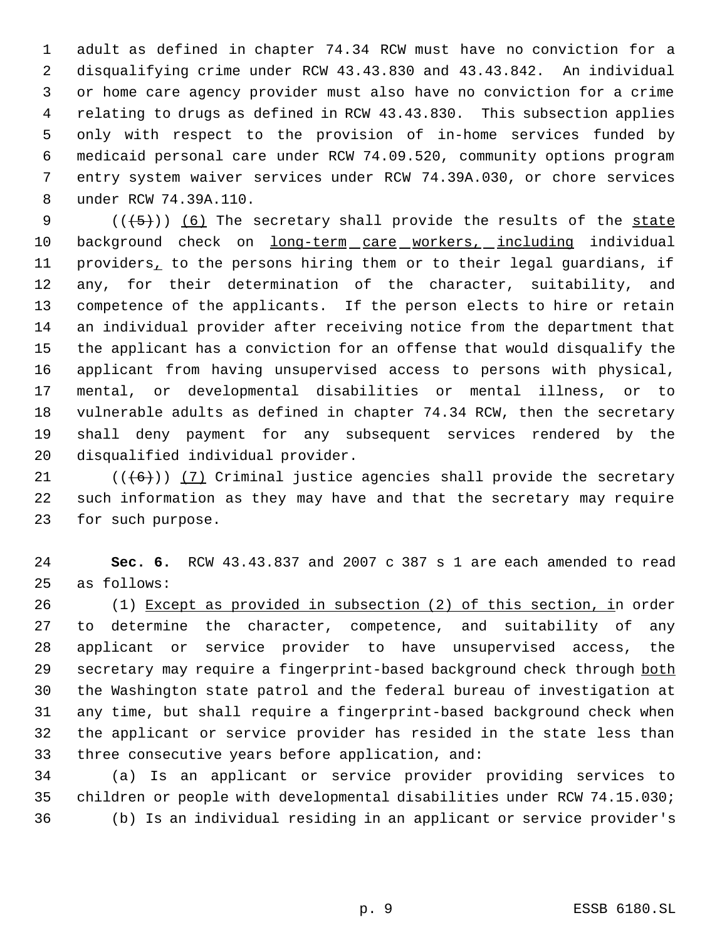adult as defined in chapter 74.34 RCW must have no conviction for a disqualifying crime under RCW 43.43.830 and 43.43.842. An individual or home care agency provider must also have no conviction for a crime relating to drugs as defined in RCW 43.43.830. This subsection applies only with respect to the provision of in-home services funded by medicaid personal care under RCW 74.09.520, community options program entry system waiver services under RCW 74.39A.030, or chore services under RCW 74.39A.110.

 $((+5))$   $(6)$  The secretary shall provide the results of the state 10 background check on long-term care workers, including individual providers, to the persons hiring them or to their legal guardians, if any, for their determination of the character, suitability, and competence of the applicants. If the person elects to hire or retain an individual provider after receiving notice from the department that the applicant has a conviction for an offense that would disqualify the applicant from having unsupervised access to persons with physical, mental, or developmental disabilities or mental illness, or to vulnerable adults as defined in chapter 74.34 RCW, then the secretary shall deny payment for any subsequent services rendered by the disqualified individual provider.

21  $((6))$  (7) Criminal justice agencies shall provide the secretary such information as they may have and that the secretary may require for such purpose.

 **Sec. 6.** RCW 43.43.837 and 2007 c 387 s 1 are each amended to read as follows:

 (1) Except as provided in subsection (2) of this section, in order to determine the character, competence, and suitability of any applicant or service provider to have unsupervised access, the 29 secretary may require a fingerprint-based background check through both the Washington state patrol and the federal bureau of investigation at any time, but shall require a fingerprint-based background check when the applicant or service provider has resided in the state less than three consecutive years before application, and:

 (a) Is an applicant or service provider providing services to children or people with developmental disabilities under RCW 74.15.030; (b) Is an individual residing in an applicant or service provider's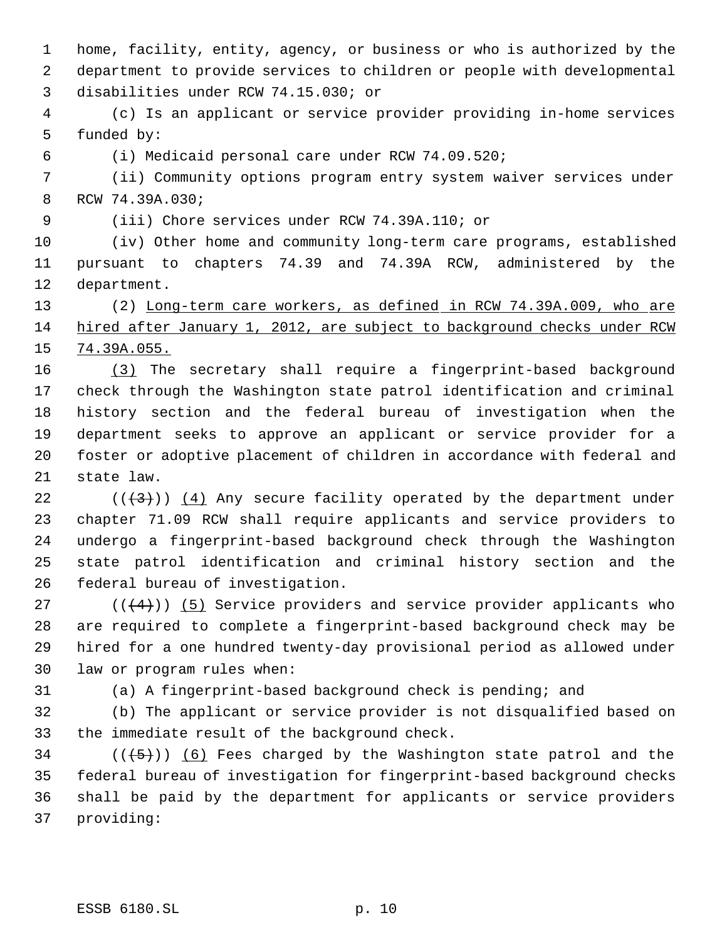home, facility, entity, agency, or business or who is authorized by the department to provide services to children or people with developmental disabilities under RCW 74.15.030; or

 (c) Is an applicant or service provider providing in-home services funded by:

(i) Medicaid personal care under RCW 74.09.520;

 (ii) Community options program entry system waiver services under RCW 74.39A.030;

(iii) Chore services under RCW 74.39A.110; or

 (iv) Other home and community long-term care programs, established pursuant to chapters 74.39 and 74.39A RCW, administered by the department.

13 (2) Long-term care workers, as defined in RCW 74.39A.009, who are hired after January 1, 2012, are subject to background checks under RCW 74.39A.055.

 (3) The secretary shall require a fingerprint-based background check through the Washington state patrol identification and criminal history section and the federal bureau of investigation when the department seeks to approve an applicant or service provider for a foster or adoptive placement of children in accordance with federal and state law.

 $((+3))$   $(4)$  Any secure facility operated by the department under chapter 71.09 RCW shall require applicants and service providers to undergo a fingerprint-based background check through the Washington state patrol identification and criminal history section and the federal bureau of investigation.

27 ( $(\langle 4 \rangle)$ ) (5) Service providers and service provider applicants who are required to complete a fingerprint-based background check may be hired for a one hundred twenty-day provisional period as allowed under law or program rules when:

(a) A fingerprint-based background check is pending; and

 (b) The applicant or service provider is not disqualified based on the immediate result of the background check.

34 ( $(\overline{\smash{.}(\mathfrak{h})})$  (6) Fees charged by the Washington state patrol and the federal bureau of investigation for fingerprint-based background checks shall be paid by the department for applicants or service providers providing: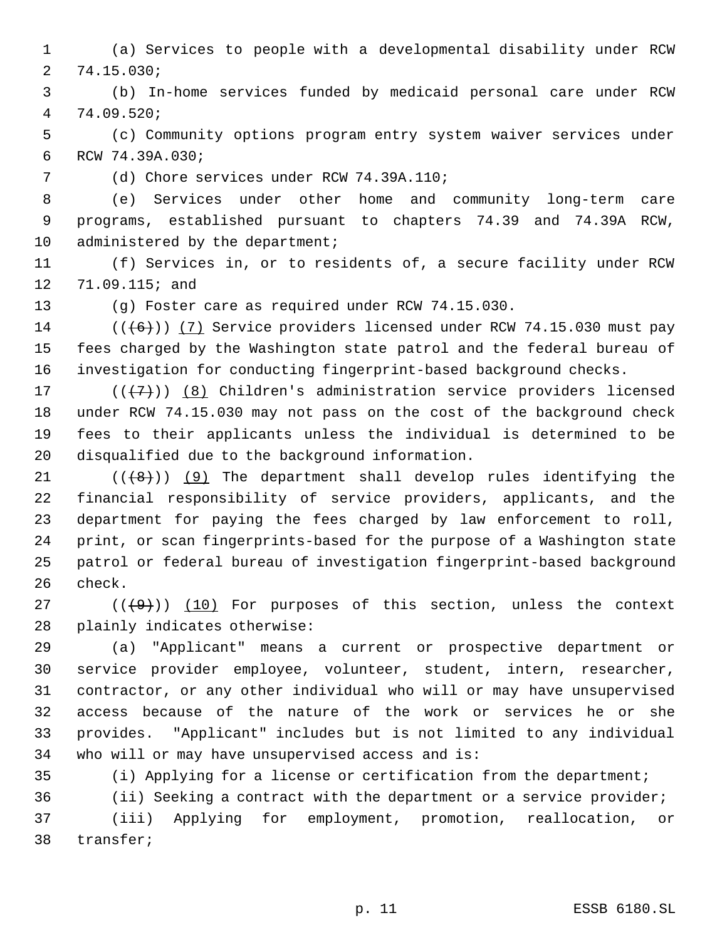(a) Services to people with a developmental disability under RCW 74.15.030;

 (b) In-home services funded by medicaid personal care under RCW 74.09.520;

 (c) Community options program entry system waiver services under RCW 74.39A.030;

(d) Chore services under RCW 74.39A.110;

 (e) Services under other home and community long-term care programs, established pursuant to chapters 74.39 and 74.39A RCW, 10 administered by the department;

 (f) Services in, or to residents of, a secure facility under RCW 71.09.115; and

(g) Foster care as required under RCW 74.15.030.

14  $((\lbrace 6 \rbrace) )$  (7) Service providers licensed under RCW 74.15.030 must pay fees charged by the Washington state patrol and the federal bureau of investigation for conducting fingerprint-based background checks.

 $((+7)^{n})$   $(8)$  Children's administration service providers licensed under RCW 74.15.030 may not pass on the cost of the background check fees to their applicants unless the individual is determined to be disqualified due to the background information.

 $((+8))$  (9) The department shall develop rules identifying the financial responsibility of service providers, applicants, and the department for paying the fees charged by law enforcement to roll, print, or scan fingerprints-based for the purpose of a Washington state patrol or federal bureau of investigation fingerprint-based background check.

27 ( $(\langle 49 \rangle)$ ) (10) For purposes of this section, unless the context plainly indicates otherwise:

 (a) "Applicant" means a current or prospective department or service provider employee, volunteer, student, intern, researcher, contractor, or any other individual who will or may have unsupervised access because of the nature of the work or services he or she provides. "Applicant" includes but is not limited to any individual who will or may have unsupervised access and is:

(i) Applying for a license or certification from the department;

 (ii) Seeking a contract with the department or a service provider; (iii) Applying for employment, promotion, reallocation, or transfer;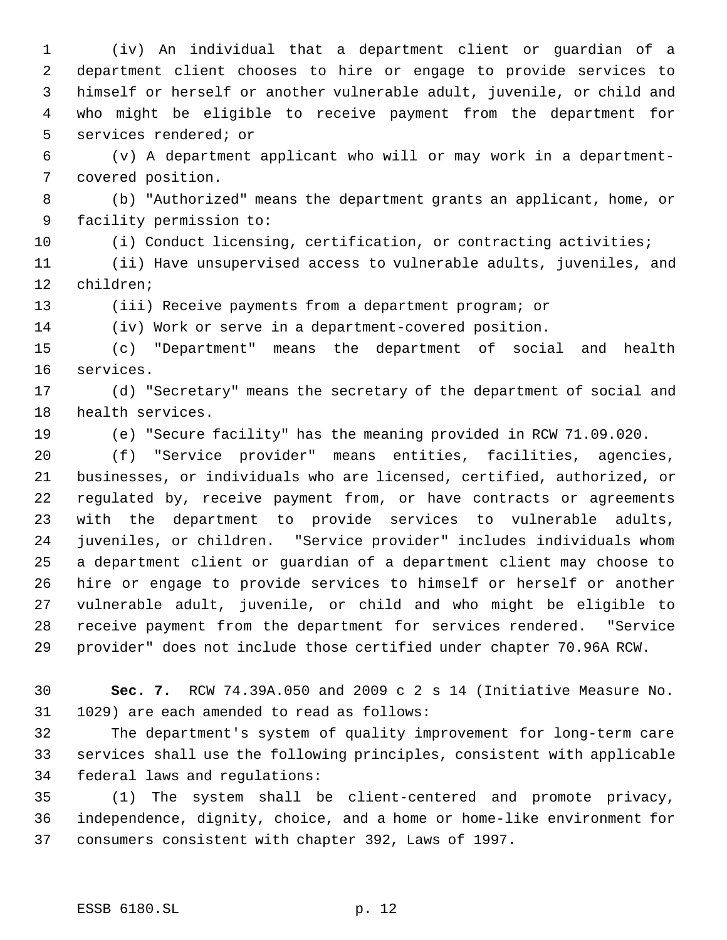(iv) An individual that a department client or guardian of a department client chooses to hire or engage to provide services to himself or herself or another vulnerable adult, juvenile, or child and who might be eligible to receive payment from the department for services rendered; or

 (v) A department applicant who will or may work in a department- covered position.

 (b) "Authorized" means the department grants an applicant, home, or facility permission to:

(i) Conduct licensing, certification, or contracting activities;

 (ii) Have unsupervised access to vulnerable adults, juveniles, and children;

(iii) Receive payments from a department program; or

(iv) Work or serve in a department-covered position.

 (c) "Department" means the department of social and health services.

 (d) "Secretary" means the secretary of the department of social and health services.

(e) "Secure facility" has the meaning provided in RCW 71.09.020.

 (f) "Service provider" means entities, facilities, agencies, businesses, or individuals who are licensed, certified, authorized, or regulated by, receive payment from, or have contracts or agreements with the department to provide services to vulnerable adults, juveniles, or children. "Service provider" includes individuals whom a department client or guardian of a department client may choose to hire or engage to provide services to himself or herself or another vulnerable adult, juvenile, or child and who might be eligible to receive payment from the department for services rendered. "Service provider" does not include those certified under chapter 70.96A RCW.

 **Sec. 7.** RCW 74.39A.050 and 2009 c 2 s 14 (Initiative Measure No. 1029) are each amended to read as follows:

 The department's system of quality improvement for long-term care services shall use the following principles, consistent with applicable federal laws and regulations:

 (1) The system shall be client-centered and promote privacy, independence, dignity, choice, and a home or home-like environment for consumers consistent with chapter 392, Laws of 1997.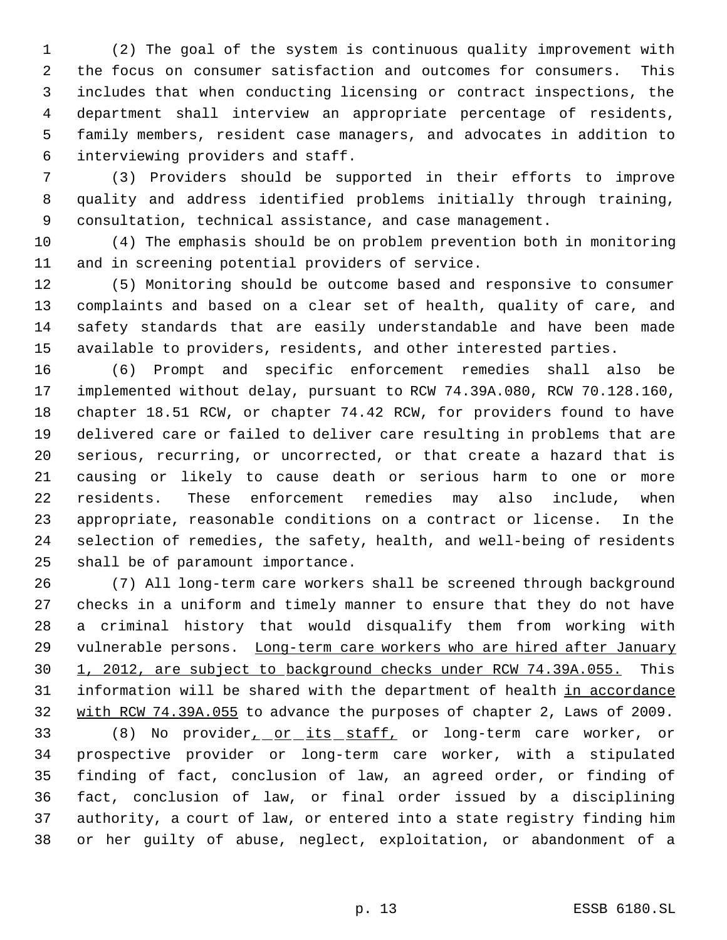(2) The goal of the system is continuous quality improvement with the focus on consumer satisfaction and outcomes for consumers. This includes that when conducting licensing or contract inspections, the department shall interview an appropriate percentage of residents, family members, resident case managers, and advocates in addition to interviewing providers and staff.

 (3) Providers should be supported in their efforts to improve quality and address identified problems initially through training, consultation, technical assistance, and case management.

 (4) The emphasis should be on problem prevention both in monitoring and in screening potential providers of service.

 (5) Monitoring should be outcome based and responsive to consumer complaints and based on a clear set of health, quality of care, and safety standards that are easily understandable and have been made available to providers, residents, and other interested parties.

 (6) Prompt and specific enforcement remedies shall also be implemented without delay, pursuant to RCW 74.39A.080, RCW 70.128.160, chapter 18.51 RCW, or chapter 74.42 RCW, for providers found to have delivered care or failed to deliver care resulting in problems that are serious, recurring, or uncorrected, or that create a hazard that is causing or likely to cause death or serious harm to one or more residents. These enforcement remedies may also include, when appropriate, reasonable conditions on a contract or license. In the selection of remedies, the safety, health, and well-being of residents shall be of paramount importance.

 (7) All long-term care workers shall be screened through background checks in a uniform and timely manner to ensure that they do not have a criminal history that would disqualify them from working with 29 vulnerable persons. Long-term care workers who are hired after January 1, 2012, are subject to background checks under RCW 74.39A.055. This 31 information will be shared with the department of health in accordance 32 with RCW 74.39A.055 to advance the purposes of chapter 2, Laws of 2009.

33 (8) No provider<sub>1</sub> or its staff, or long-term care worker, or prospective provider or long-term care worker, with a stipulated finding of fact, conclusion of law, an agreed order, or finding of fact, conclusion of law, or final order issued by a disciplining authority, a court of law, or entered into a state registry finding him or her guilty of abuse, neglect, exploitation, or abandonment of a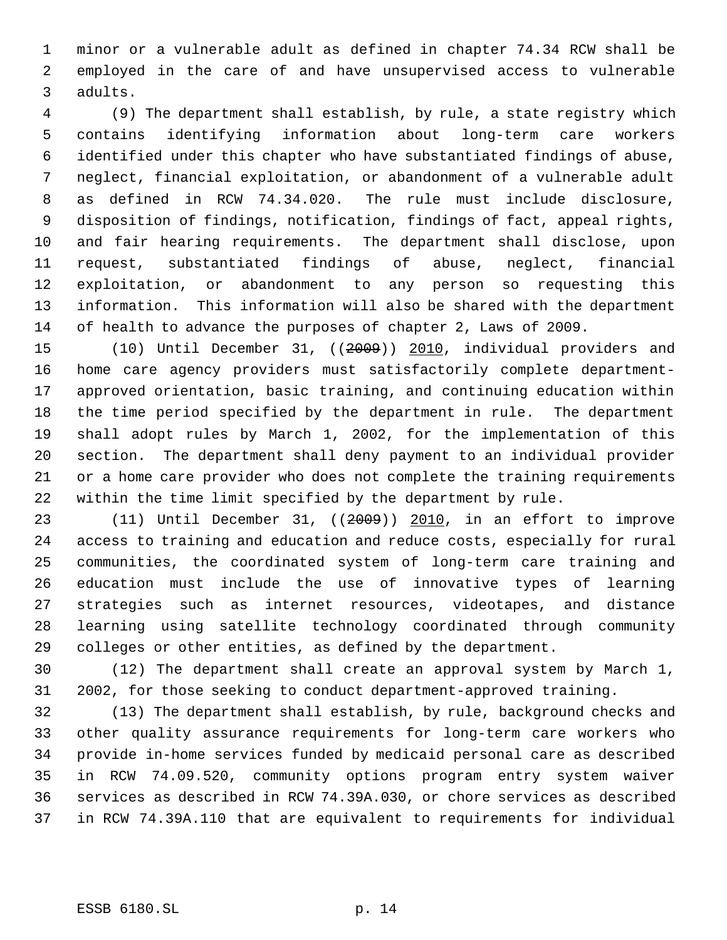minor or a vulnerable adult as defined in chapter 74.34 RCW shall be employed in the care of and have unsupervised access to vulnerable adults.

 (9) The department shall establish, by rule, a state registry which contains identifying information about long-term care workers identified under this chapter who have substantiated findings of abuse, neglect, financial exploitation, or abandonment of a vulnerable adult as defined in RCW 74.34.020. The rule must include disclosure, disposition of findings, notification, findings of fact, appeal rights, and fair hearing requirements. The department shall disclose, upon request, substantiated findings of abuse, neglect, financial exploitation, or abandonment to any person so requesting this information. This information will also be shared with the department of health to advance the purposes of chapter 2, Laws of 2009.

 (10) Until December 31, ((2009)) 2010, individual providers and home care agency providers must satisfactorily complete department- approved orientation, basic training, and continuing education within the time period specified by the department in rule. The department shall adopt rules by March 1, 2002, for the implementation of this section. The department shall deny payment to an individual provider or a home care provider who does not complete the training requirements within the time limit specified by the department by rule.

 (11) Until December 31, ((2009)) 2010, in an effort to improve access to training and education and reduce costs, especially for rural communities, the coordinated system of long-term care training and education must include the use of innovative types of learning strategies such as internet resources, videotapes, and distance learning using satellite technology coordinated through community colleges or other entities, as defined by the department.

 (12) The department shall create an approval system by March 1, 2002, for those seeking to conduct department-approved training.

 (13) The department shall establish, by rule, background checks and other quality assurance requirements for long-term care workers who provide in-home services funded by medicaid personal care as described in RCW 74.09.520, community options program entry system waiver services as described in RCW 74.39A.030, or chore services as described in RCW 74.39A.110 that are equivalent to requirements for individual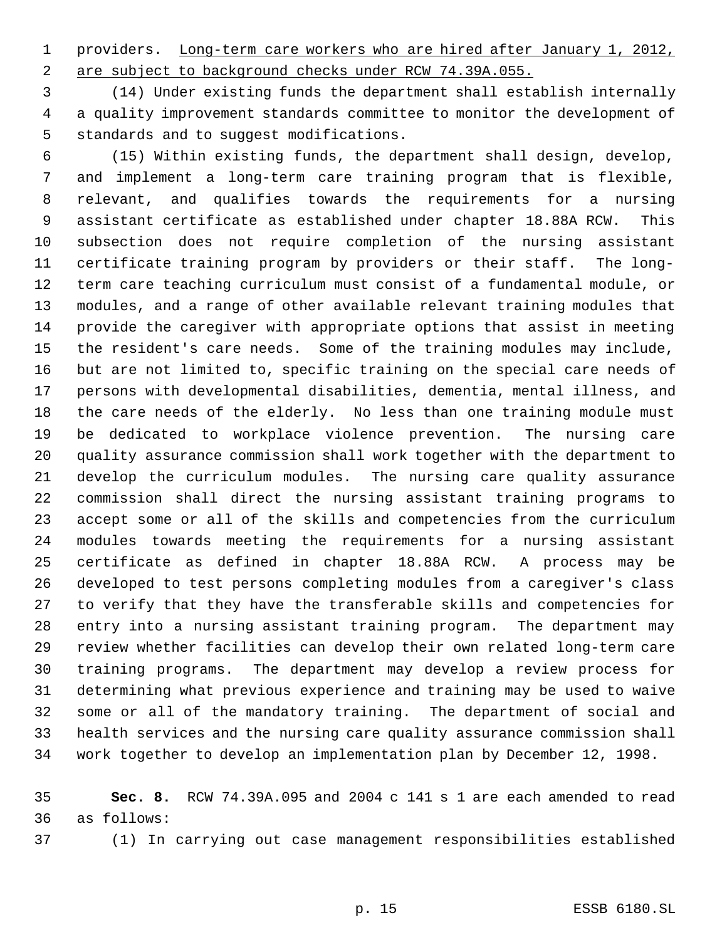providers. Long-term care workers who are hired after January 1, 2012, 2 are subject to background checks under RCW 74.39A.055.

 (14) Under existing funds the department shall establish internally a quality improvement standards committee to monitor the development of standards and to suggest modifications.

(15) Within existing funds, the department shall design, develop,

 and implement a long-term care training program that is flexible, relevant, and qualifies towards the requirements for a nursing assistant certificate as established under chapter 18.88A RCW. This subsection does not require completion of the nursing assistant certificate training program by providers or their staff. The long- term care teaching curriculum must consist of a fundamental module, or modules, and a range of other available relevant training modules that provide the caregiver with appropriate options that assist in meeting the resident's care needs. Some of the training modules may include, but are not limited to, specific training on the special care needs of persons with developmental disabilities, dementia, mental illness, and the care needs of the elderly. No less than one training module must be dedicated to workplace violence prevention. The nursing care quality assurance commission shall work together with the department to develop the curriculum modules. The nursing care quality assurance commission shall direct the nursing assistant training programs to accept some or all of the skills and competencies from the curriculum modules towards meeting the requirements for a nursing assistant certificate as defined in chapter 18.88A RCW. A process may be developed to test persons completing modules from a caregiver's class to verify that they have the transferable skills and competencies for entry into a nursing assistant training program. The department may review whether facilities can develop their own related long-term care training programs. The department may develop a review process for determining what previous experience and training may be used to waive some or all of the mandatory training. The department of social and health services and the nursing care quality assurance commission shall work together to develop an implementation plan by December 12, 1998.

 **Sec. 8.** RCW 74.39A.095 and 2004 c 141 s 1 are each amended to read as follows:

(1) In carrying out case management responsibilities established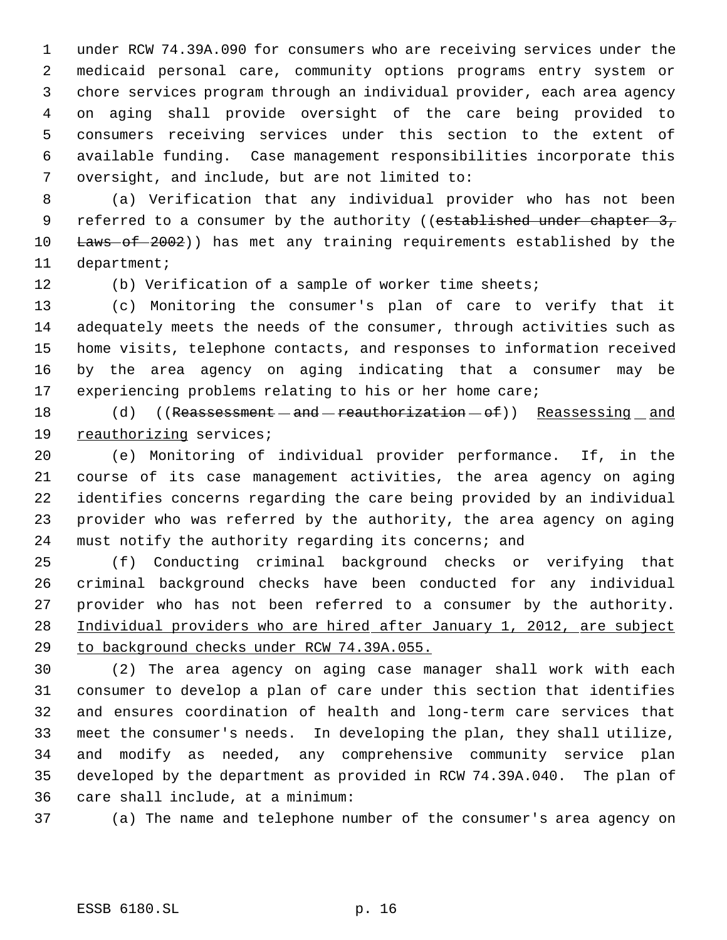under RCW 74.39A.090 for consumers who are receiving services under the medicaid personal care, community options programs entry system or chore services program through an individual provider, each area agency on aging shall provide oversight of the care being provided to consumers receiving services under this section to the extent of available funding. Case management responsibilities incorporate this oversight, and include, but are not limited to:

 (a) Verification that any individual provider who has not been 9 referred to a consumer by the authority ((established under chapter 3, 10 Laws of 2002)) has met any training requirements established by the department;

(b) Verification of a sample of worker time sheets;

 (c) Monitoring the consumer's plan of care to verify that it adequately meets the needs of the consumer, through activities such as home visits, telephone contacts, and responses to information received by the area agency on aging indicating that a consumer may be experiencing problems relating to his or her home care;

18 (d) ((Reassessment - and - reauthorization - of)) Reassessing and reauthorizing services;

 (e) Monitoring of individual provider performance. If, in the course of its case management activities, the area agency on aging identifies concerns regarding the care being provided by an individual provider who was referred by the authority, the area agency on aging must notify the authority regarding its concerns; and

 (f) Conducting criminal background checks or verifying that criminal background checks have been conducted for any individual provider who has not been referred to a consumer by the authority. Individual providers who are hired after January 1, 2012, are subject to background checks under RCW 74.39A.055.

 (2) The area agency on aging case manager shall work with each consumer to develop a plan of care under this section that identifies and ensures coordination of health and long-term care services that meet the consumer's needs. In developing the plan, they shall utilize, and modify as needed, any comprehensive community service plan developed by the department as provided in RCW 74.39A.040. The plan of care shall include, at a minimum:

(a) The name and telephone number of the consumer's area agency on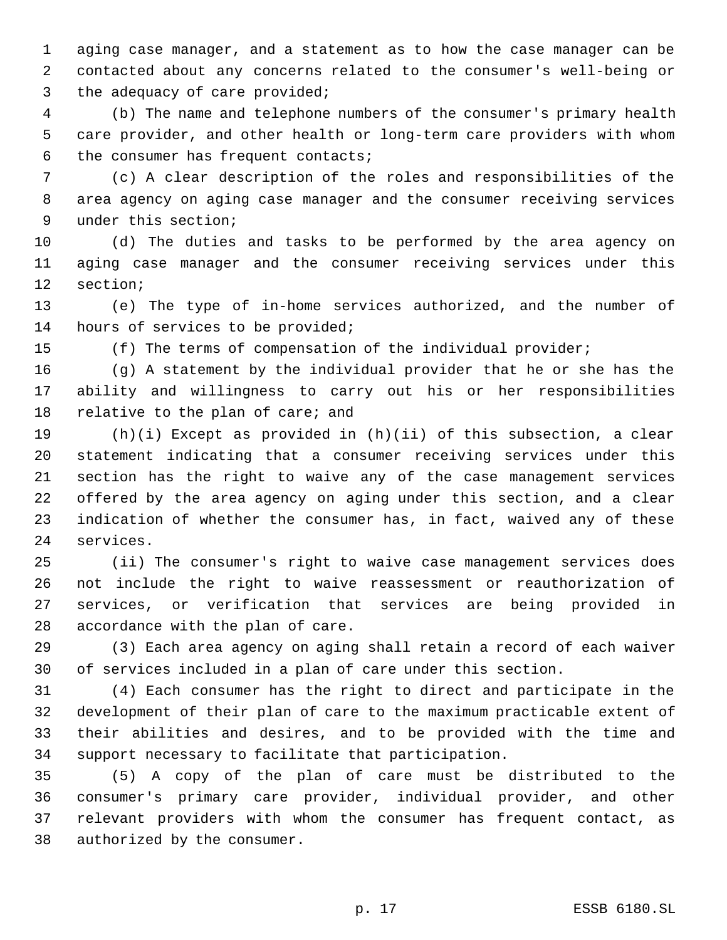aging case manager, and a statement as to how the case manager can be contacted about any concerns related to the consumer's well-being or the adequacy of care provided;

 (b) The name and telephone numbers of the consumer's primary health care provider, and other health or long-term care providers with whom the consumer has frequent contacts;

 (c) A clear description of the roles and responsibilities of the area agency on aging case manager and the consumer receiving services under this section;

 (d) The duties and tasks to be performed by the area agency on aging case manager and the consumer receiving services under this section;

 (e) The type of in-home services authorized, and the number of hours of services to be provided;

(f) The terms of compensation of the individual provider;

 (g) A statement by the individual provider that he or she has the ability and willingness to carry out his or her responsibilities 18 relative to the plan of care; and

 (h)(i) Except as provided in (h)(ii) of this subsection, a clear statement indicating that a consumer receiving services under this section has the right to waive any of the case management services offered by the area agency on aging under this section, and a clear indication of whether the consumer has, in fact, waived any of these services.

 (ii) The consumer's right to waive case management services does not include the right to waive reassessment or reauthorization of services, or verification that services are being provided in accordance with the plan of care.

 (3) Each area agency on aging shall retain a record of each waiver of services included in a plan of care under this section.

 (4) Each consumer has the right to direct and participate in the development of their plan of care to the maximum practicable extent of their abilities and desires, and to be provided with the time and support necessary to facilitate that participation.

 (5) A copy of the plan of care must be distributed to the consumer's primary care provider, individual provider, and other relevant providers with whom the consumer has frequent contact, as authorized by the consumer.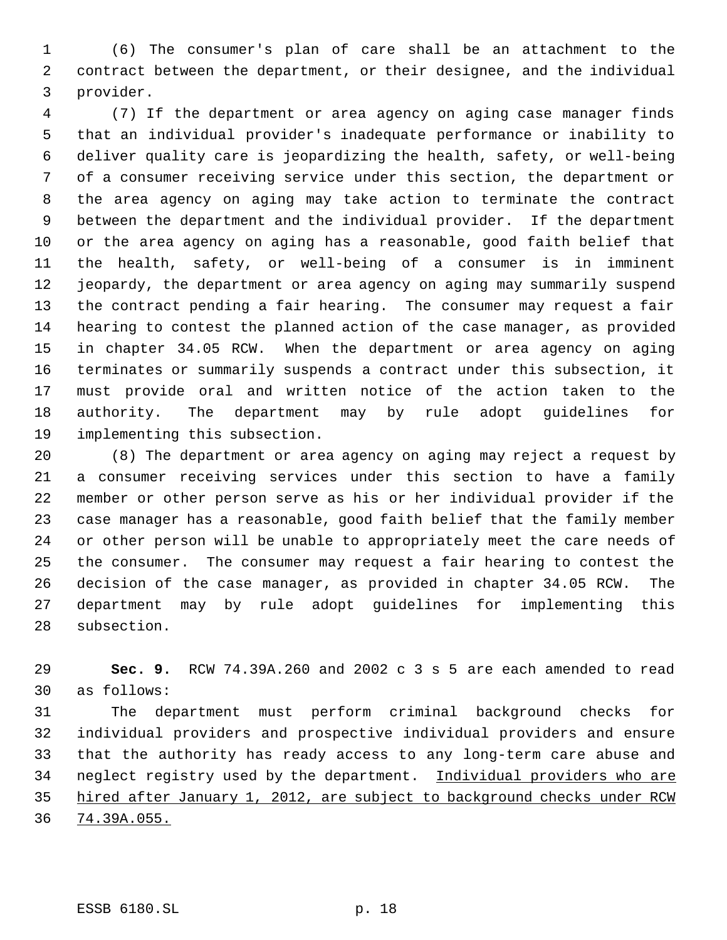(6) The consumer's plan of care shall be an attachment to the contract between the department, or their designee, and the individual provider.

 (7) If the department or area agency on aging case manager finds that an individual provider's inadequate performance or inability to deliver quality care is jeopardizing the health, safety, or well-being of a consumer receiving service under this section, the department or the area agency on aging may take action to terminate the contract between the department and the individual provider. If the department or the area agency on aging has a reasonable, good faith belief that the health, safety, or well-being of a consumer is in imminent jeopardy, the department or area agency on aging may summarily suspend the contract pending a fair hearing. The consumer may request a fair hearing to contest the planned action of the case manager, as provided in chapter 34.05 RCW. When the department or area agency on aging terminates or summarily suspends a contract under this subsection, it must provide oral and written notice of the action taken to the authority. The department may by rule adopt guidelines for implementing this subsection.

 (8) The department or area agency on aging may reject a request by a consumer receiving services under this section to have a family member or other person serve as his or her individual provider if the case manager has a reasonable, good faith belief that the family member or other person will be unable to appropriately meet the care needs of the consumer. The consumer may request a fair hearing to contest the decision of the case manager, as provided in chapter 34.05 RCW. The department may by rule adopt guidelines for implementing this subsection.

 **Sec. 9.** RCW 74.39A.260 and 2002 c 3 s 5 are each amended to read as follows:

 The department must perform criminal background checks for individual providers and prospective individual providers and ensure that the authority has ready access to any long-term care abuse and 34 neglect registry used by the department. Individual providers who are hired after January 1, 2012, are subject to background checks under RCW 74.39A.055.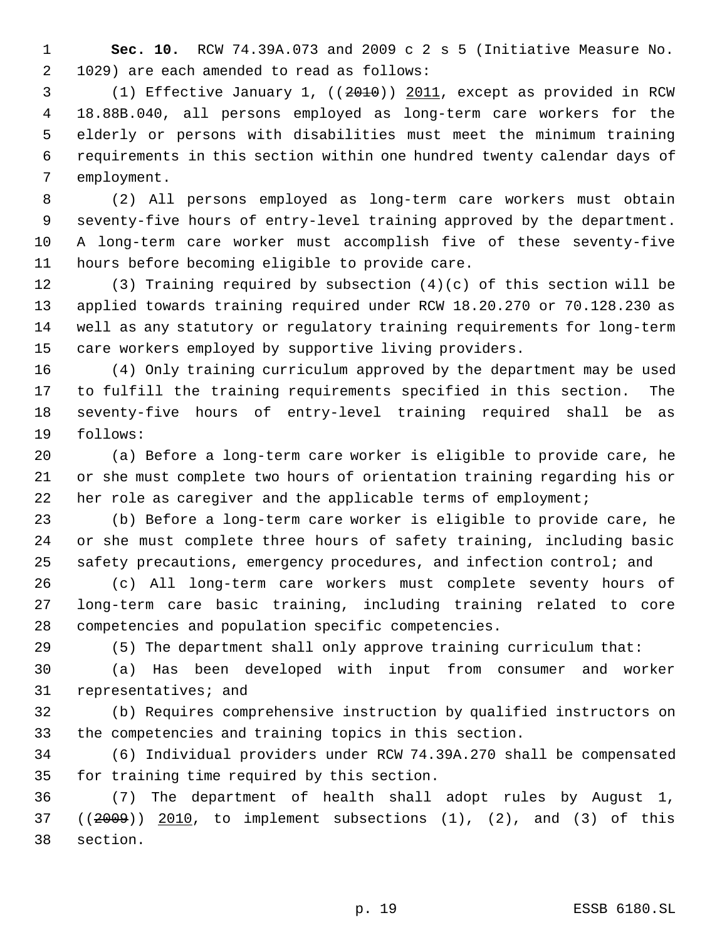**Sec. 10.** RCW 74.39A.073 and 2009 c 2 s 5 (Initiative Measure No. 1029) are each amended to read as follows:

 (1) Effective January 1, ((2010)) 2011, except as provided in RCW 18.88B.040, all persons employed as long-term care workers for the elderly or persons with disabilities must meet the minimum training requirements in this section within one hundred twenty calendar days of employment.

 (2) All persons employed as long-term care workers must obtain seventy-five hours of entry-level training approved by the department. A long-term care worker must accomplish five of these seventy-five hours before becoming eligible to provide care.

 (3) Training required by subsection (4)(c) of this section will be applied towards training required under RCW 18.20.270 or 70.128.230 as well as any statutory or regulatory training requirements for long-term care workers employed by supportive living providers.

 (4) Only training curriculum approved by the department may be used to fulfill the training requirements specified in this section. The seventy-five hours of entry-level training required shall be as follows:

 (a) Before a long-term care worker is eligible to provide care, he or she must complete two hours of orientation training regarding his or her role as caregiver and the applicable terms of employment;

 (b) Before a long-term care worker is eligible to provide care, he or she must complete three hours of safety training, including basic safety precautions, emergency procedures, and infection control; and

 (c) All long-term care workers must complete seventy hours of long-term care basic training, including training related to core competencies and population specific competencies.

(5) The department shall only approve training curriculum that:

 (a) Has been developed with input from consumer and worker representatives; and

 (b) Requires comprehensive instruction by qualified instructors on the competencies and training topics in this section.

 (6) Individual providers under RCW 74.39A.270 shall be compensated for training time required by this section.

 (7) The department of health shall adopt rules by August 1, ((2009)) 2010, to implement subsections (1), (2), and (3) of this section.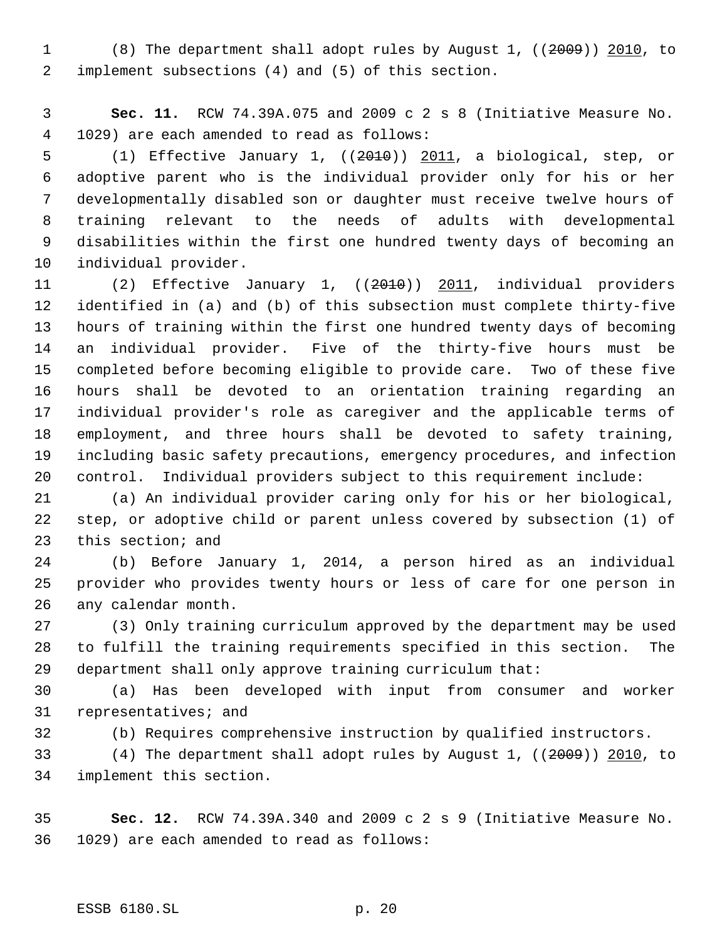(8) The department shall adopt rules by August 1, ((2009)) 2010, to implement subsections (4) and (5) of this section.

 **Sec. 11.** RCW 74.39A.075 and 2009 c 2 s 8 (Initiative Measure No. 1029) are each amended to read as follows:

 (1) Effective January 1, ((2010)) 2011, a biological, step, or adoptive parent who is the individual provider only for his or her developmentally disabled son or daughter must receive twelve hours of training relevant to the needs of adults with developmental disabilities within the first one hundred twenty days of becoming an individual provider.

 (2) Effective January 1, ((2010)) 2011, individual providers identified in (a) and (b) of this subsection must complete thirty-five hours of training within the first one hundred twenty days of becoming an individual provider. Five of the thirty-five hours must be completed before becoming eligible to provide care. Two of these five hours shall be devoted to an orientation training regarding an individual provider's role as caregiver and the applicable terms of employment, and three hours shall be devoted to safety training, including basic safety precautions, emergency procedures, and infection control. Individual providers subject to this requirement include:

 (a) An individual provider caring only for his or her biological, step, or adoptive child or parent unless covered by subsection (1) of this section; and

 (b) Before January 1, 2014, a person hired as an individual provider who provides twenty hours or less of care for one person in any calendar month.

 (3) Only training curriculum approved by the department may be used to fulfill the training requirements specified in this section. The department shall only approve training curriculum that:

 (a) Has been developed with input from consumer and worker representatives; and

(b) Requires comprehensive instruction by qualified instructors.

 (4) The department shall adopt rules by August 1, ((2009)) 2010, to implement this section.

 **Sec. 12.** RCW 74.39A.340 and 2009 c 2 s 9 (Initiative Measure No. 1029) are each amended to read as follows: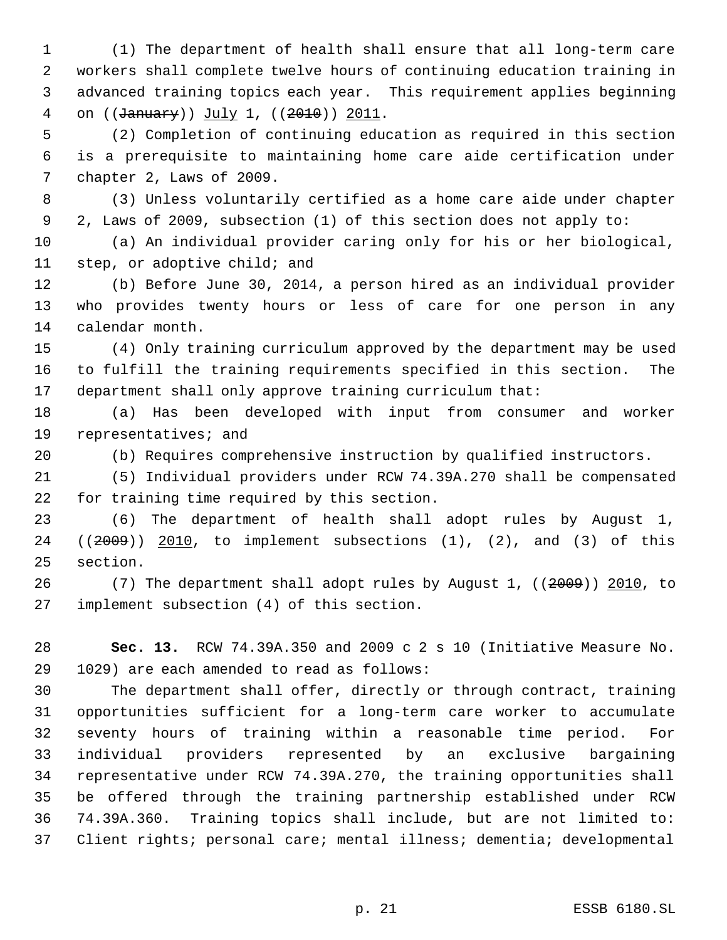(1) The department of health shall ensure that all long-term care workers shall complete twelve hours of continuing education training in advanced training topics each year. This requirement applies beginning 4 on ((January)) July 1, ((2010)) 2011.

 (2) Completion of continuing education as required in this section is a prerequisite to maintaining home care aide certification under chapter 2, Laws of 2009.

 (3) Unless voluntarily certified as a home care aide under chapter 2, Laws of 2009, subsection (1) of this section does not apply to:

 (a) An individual provider caring only for his or her biological, step, or adoptive child; and

 (b) Before June 30, 2014, a person hired as an individual provider who provides twenty hours or less of care for one person in any calendar month.

 (4) Only training curriculum approved by the department may be used to fulfill the training requirements specified in this section. The department shall only approve training curriculum that:

 (a) Has been developed with input from consumer and worker representatives; and

(b) Requires comprehensive instruction by qualified instructors.

 (5) Individual providers under RCW 74.39A.270 shall be compensated for training time required by this section.

 (6) The department of health shall adopt rules by August 1, ((2009)) 2010, to implement subsections (1), (2), and (3) of this section.

 (7) The department shall adopt rules by August 1, ((2009)) 2010, to implement subsection (4) of this section.

 **Sec. 13.** RCW 74.39A.350 and 2009 c 2 s 10 (Initiative Measure No. 1029) are each amended to read as follows:

 The department shall offer, directly or through contract, training opportunities sufficient for a long-term care worker to accumulate seventy hours of training within a reasonable time period. For individual providers represented by an exclusive bargaining representative under RCW 74.39A.270, the training opportunities shall be offered through the training partnership established under RCW 74.39A.360. Training topics shall include, but are not limited to: Client rights; personal care; mental illness; dementia; developmental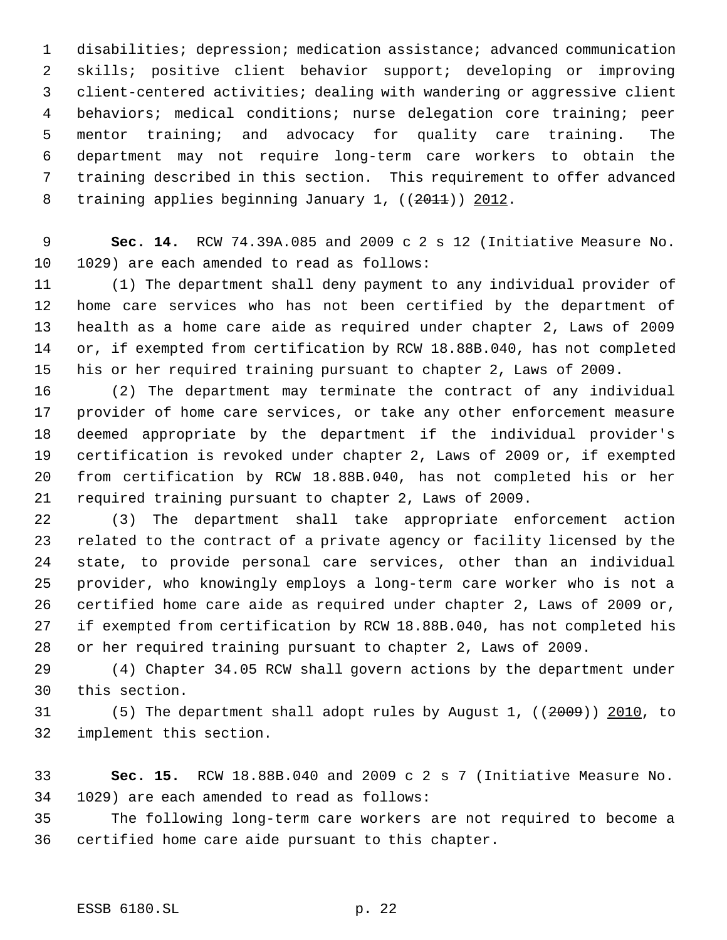disabilities; depression; medication assistance; advanced communication skills; positive client behavior support; developing or improving client-centered activities; dealing with wandering or aggressive client behaviors; medical conditions; nurse delegation core training; peer mentor training; and advocacy for quality care training. The department may not require long-term care workers to obtain the training described in this section. This requirement to offer advanced 8 training applies beginning January 1, ((2011)) 2012.

 **Sec. 14.** RCW 74.39A.085 and 2009 c 2 s 12 (Initiative Measure No. 1029) are each amended to read as follows:

 (1) The department shall deny payment to any individual provider of home care services who has not been certified by the department of health as a home care aide as required under chapter 2, Laws of 2009 or, if exempted from certification by RCW 18.88B.040, has not completed his or her required training pursuant to chapter 2, Laws of 2009.

 (2) The department may terminate the contract of any individual provider of home care services, or take any other enforcement measure deemed appropriate by the department if the individual provider's certification is revoked under chapter 2, Laws of 2009 or, if exempted from certification by RCW 18.88B.040, has not completed his or her required training pursuant to chapter 2, Laws of 2009.

 (3) The department shall take appropriate enforcement action related to the contract of a private agency or facility licensed by the state, to provide personal care services, other than an individual provider, who knowingly employs a long-term care worker who is not a certified home care aide as required under chapter 2, Laws of 2009 or, if exempted from certification by RCW 18.88B.040, has not completed his or her required training pursuant to chapter 2, Laws of 2009.

 (4) Chapter 34.05 RCW shall govern actions by the department under this section.

 (5) The department shall adopt rules by August 1, ((2009)) 2010, to implement this section.

 **Sec. 15.** RCW 18.88B.040 and 2009 c 2 s 7 (Initiative Measure No. 1029) are each amended to read as follows:

 The following long-term care workers are not required to become a certified home care aide pursuant to this chapter.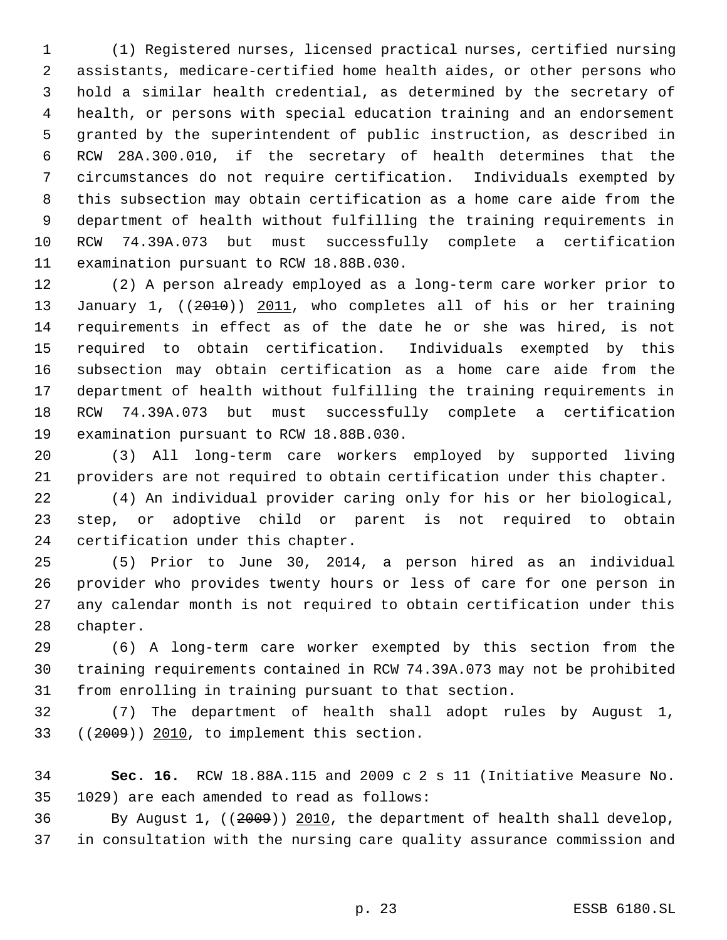(1) Registered nurses, licensed practical nurses, certified nursing assistants, medicare-certified home health aides, or other persons who hold a similar health credential, as determined by the secretary of health, or persons with special education training and an endorsement granted by the superintendent of public instruction, as described in RCW 28A.300.010, if the secretary of health determines that the circumstances do not require certification. Individuals exempted by this subsection may obtain certification as a home care aide from the department of health without fulfilling the training requirements in RCW 74.39A.073 but must successfully complete a certification examination pursuant to RCW 18.88B.030.

 (2) A person already employed as a long-term care worker prior to 13 January 1, ((2010)) 2011, who completes all of his or her training requirements in effect as of the date he or she was hired, is not required to obtain certification. Individuals exempted by this subsection may obtain certification as a home care aide from the department of health without fulfilling the training requirements in RCW 74.39A.073 but must successfully complete a certification examination pursuant to RCW 18.88B.030.

 (3) All long-term care workers employed by supported living providers are not required to obtain certification under this chapter.

 (4) An individual provider caring only for his or her biological, step, or adoptive child or parent is not required to obtain certification under this chapter.

 (5) Prior to June 30, 2014, a person hired as an individual provider who provides twenty hours or less of care for one person in any calendar month is not required to obtain certification under this chapter.

 (6) A long-term care worker exempted by this section from the training requirements contained in RCW 74.39A.073 may not be prohibited from enrolling in training pursuant to that section.

 (7) The department of health shall adopt rules by August 1, ((2009)) 2010, to implement this section.

 **Sec. 16.** RCW 18.88A.115 and 2009 c 2 s 11 (Initiative Measure No. 1029) are each amended to read as follows:

 By August 1, ((2009)) 2010, the department of health shall develop, in consultation with the nursing care quality assurance commission and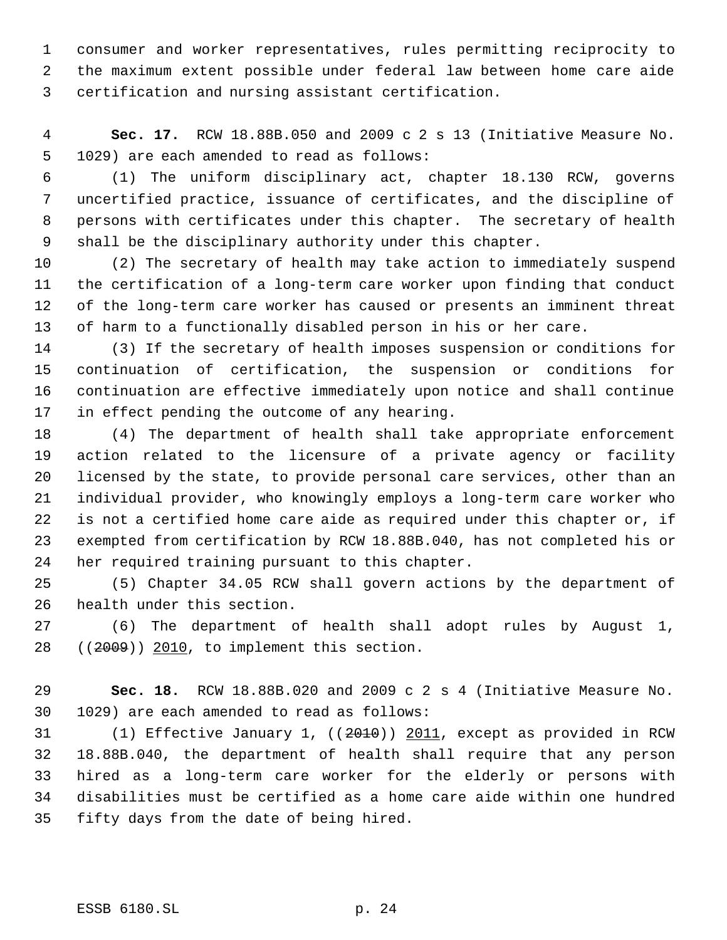consumer and worker representatives, rules permitting reciprocity to the maximum extent possible under federal law between home care aide certification and nursing assistant certification.

 **Sec. 17.** RCW 18.88B.050 and 2009 c 2 s 13 (Initiative Measure No. 1029) are each amended to read as follows:

 (1) The uniform disciplinary act, chapter 18.130 RCW, governs uncertified practice, issuance of certificates, and the discipline of persons with certificates under this chapter. The secretary of health shall be the disciplinary authority under this chapter.

 (2) The secretary of health may take action to immediately suspend the certification of a long-term care worker upon finding that conduct of the long-term care worker has caused or presents an imminent threat of harm to a functionally disabled person in his or her care.

 (3) If the secretary of health imposes suspension or conditions for continuation of certification, the suspension or conditions for continuation are effective immediately upon notice and shall continue in effect pending the outcome of any hearing.

 (4) The department of health shall take appropriate enforcement action related to the licensure of a private agency or facility licensed by the state, to provide personal care services, other than an individual provider, who knowingly employs a long-term care worker who is not a certified home care aide as required under this chapter or, if exempted from certification by RCW 18.88B.040, has not completed his or her required training pursuant to this chapter.

 (5) Chapter 34.05 RCW shall govern actions by the department of health under this section.

 (6) The department of health shall adopt rules by August 1, 28 ((2009)) 2010, to implement this section.

 **Sec. 18.** RCW 18.88B.020 and 2009 c 2 s 4 (Initiative Measure No. 1029) are each amended to read as follows:

 (1) Effective January 1, ((2010)) 2011, except as provided in RCW 18.88B.040, the department of health shall require that any person hired as a long-term care worker for the elderly or persons with disabilities must be certified as a home care aide within one hundred fifty days from the date of being hired.